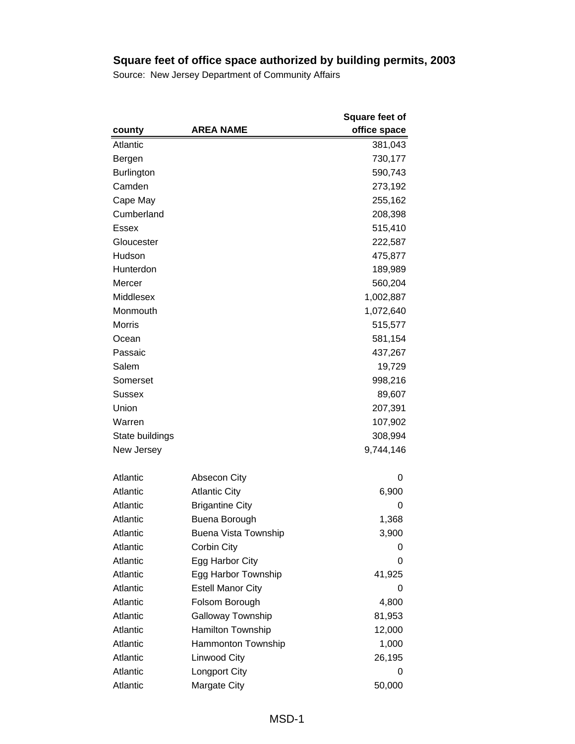|                   |                          | <b>Square feet of</b> |
|-------------------|--------------------------|-----------------------|
| county            | <b>AREA NAME</b>         | office space          |
| Atlantic          |                          | 381,043               |
| Bergen            |                          | 730,177               |
| <b>Burlington</b> |                          | 590,743               |
| Camden            |                          | 273,192               |
| Cape May          |                          | 255,162               |
| Cumberland        |                          | 208,398               |
| <b>Essex</b>      |                          | 515,410               |
| Gloucester        |                          | 222,587               |
| Hudson            |                          | 475,877               |
| Hunterdon         |                          | 189,989               |
| Mercer            |                          | 560,204               |
| Middlesex         |                          | 1,002,887             |
| Monmouth          |                          | 1,072,640             |
| Morris            |                          | 515,577               |
| Ocean             |                          | 581,154               |
| Passaic           |                          | 437,267               |
| Salem             |                          | 19,729                |
| Somerset          |                          | 998,216               |
| Sussex            |                          | 89,607                |
| Union             |                          | 207,391               |
| Warren            |                          | 107,902               |
| State buildings   |                          | 308,994               |
| New Jersey        |                          | 9,744,146             |
| Atlantic          | <b>Absecon City</b>      | O                     |
| Atlantic          | <b>Atlantic City</b>     | 6,900                 |
| Atlantic          | <b>Brigantine City</b>   | 0                     |
| Atlantic          | Buena Borough            | 1,368                 |
| Atlantic          | Buena Vista Township     | 3,900                 |
| Atlantic          | Corbin City              | 0                     |
| Atlantic          | Egg Harbor City          | 0                     |
| Atlantic          | Egg Harbor Township      | 41,925                |
| Atlantic          | <b>Estell Manor City</b> | 0                     |
| Atlantic          | Folsom Borough           | 4,800                 |
| Atlantic          | <b>Galloway Township</b> | 81,953                |
| Atlantic          | Hamilton Township        | 12,000                |
| Atlantic          | Hammonton Township       | 1,000                 |
| Atlantic          | Linwood City             | 26,195                |
| Atlantic          | Longport City            | 0                     |
| Atlantic          | Margate City             | 50,000                |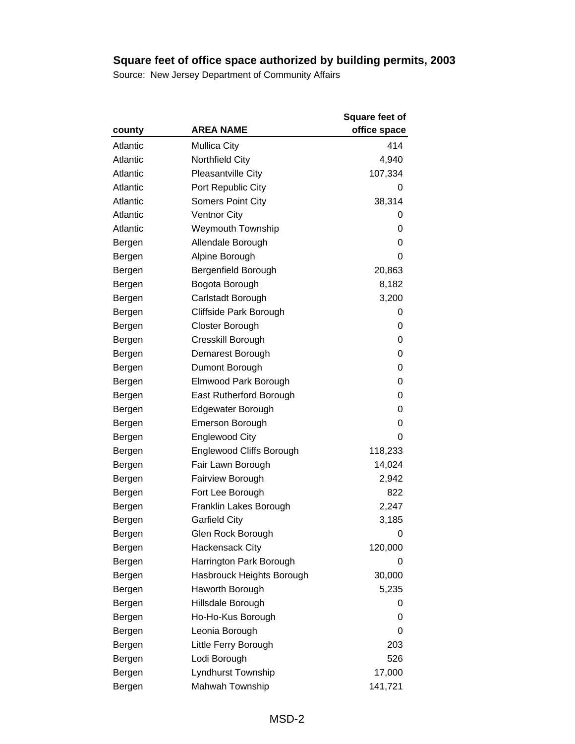|          |                           | <b>Square feet of</b> |
|----------|---------------------------|-----------------------|
| county   | <b>AREA NAME</b>          | office space          |
| Atlantic | <b>Mullica City</b>       | 414                   |
| Atlantic | Northfield City           | 4,940                 |
| Atlantic | <b>Pleasantville City</b> | 107,334               |
| Atlantic | Port Republic City        | O                     |
| Atlantic | <b>Somers Point City</b>  | 38,314                |
| Atlantic | <b>Ventnor City</b>       | 0                     |
| Atlantic | <b>Weymouth Township</b>  | 0                     |
| Bergen   | Allendale Borough         | 0                     |
| Bergen   | Alpine Borough            | 0                     |
| Bergen   | Bergenfield Borough       | 20,863                |
| Bergen   | Bogota Borough            | 8,182                 |
| Bergen   | Carlstadt Borough         | 3,200                 |
| Bergen   | Cliffside Park Borough    | 0                     |
| Bergen   | Closter Borough           | 0                     |
| Bergen   | Cresskill Borough         | 0                     |
| Bergen   | Demarest Borough          | 0                     |
| Bergen   | Dumont Borough            | 0                     |
| Bergen   | Elmwood Park Borough      | 0                     |
| Bergen   | East Rutherford Borough   | 0                     |
| Bergen   | <b>Edgewater Borough</b>  | 0                     |
| Bergen   | <b>Emerson Borough</b>    | 0                     |
| Bergen   | <b>Englewood City</b>     | 0                     |
| Bergen   | Englewood Cliffs Borough  | 118,233               |
| Bergen   | Fair Lawn Borough         | 14,024                |
| Bergen   | Fairview Borough          | 2,942                 |
| Bergen   | Fort Lee Borough          | 822                   |
| Bergen   | Franklin Lakes Borough    | 2,247                 |
| Bergen   | <b>Garfield City</b>      | 3,185                 |
| Bergen   | Glen Rock Borough         | 0                     |
| Bergen   | <b>Hackensack City</b>    | 120,000               |
| Bergen   | Harrington Park Borough   | 0                     |
| Bergen   | Hasbrouck Heights Borough | 30,000                |
| Bergen   | Haworth Borough           | 5,235                 |
| Bergen   | Hillsdale Borough         | 0                     |
| Bergen   | Ho-Ho-Kus Borough         | 0                     |
| Bergen   | Leonia Borough            | 0                     |
| Bergen   | Little Ferry Borough      | 203                   |
| Bergen   | Lodi Borough              | 526                   |
| Bergen   | Lyndhurst Township        | 17,000                |
| Bergen   | Mahwah Township           | 141,721               |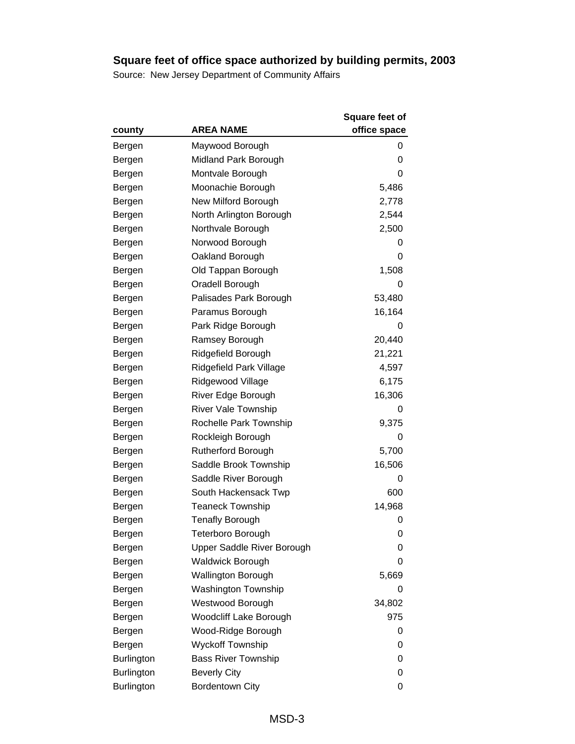|                   |                            | Square feet of |
|-------------------|----------------------------|----------------|
| county            | <b>AREA NAME</b>           | office space   |
| Bergen            | Maywood Borough            | 0              |
| Bergen            | Midland Park Borough       | 0              |
| Bergen            | Montvale Borough           | 0              |
| Bergen            | Moonachie Borough          | 5,486          |
| Bergen            | New Milford Borough        | 2,778          |
| Bergen            | North Arlington Borough    | 2,544          |
| Bergen            | Northvale Borough          | 2,500          |
| Bergen            | Norwood Borough            | 0              |
| Bergen            | Oakland Borough            | 0              |
| Bergen            | Old Tappan Borough         | 1,508          |
| Bergen            | Oradell Borough            | 0              |
| Bergen            | Palisades Park Borough     | 53,480         |
| Bergen            | Paramus Borough            | 16,164         |
| Bergen            | Park Ridge Borough         | 0              |
| Bergen            | Ramsey Borough             | 20,440         |
| Bergen            | Ridgefield Borough         | 21,221         |
| Bergen            | Ridgefield Park Village    | 4,597          |
| Bergen            | Ridgewood Village          | 6,175          |
| Bergen            | River Edge Borough         | 16,306         |
| Bergen            | <b>River Vale Township</b> | 0              |
| Bergen            | Rochelle Park Township     | 9,375          |
| Bergen            | Rockleigh Borough          | 0              |
| Bergen            | Rutherford Borough         | 5,700          |
| Bergen            | Saddle Brook Township      | 16,506         |
| Bergen            | Saddle River Borough       | 0              |
| Bergen            | South Hackensack Twp       | 600            |
| Bergen            | <b>Teaneck Township</b>    | 14,968         |
| Bergen            | <b>Tenafly Borough</b>     | 0              |
| Bergen            | Teterboro Borough          | 0              |
| Bergen            | Upper Saddle River Borough | 0              |
| Bergen            | <b>Waldwick Borough</b>    | 0              |
| Bergen            | <b>Wallington Borough</b>  | 5,669          |
| Bergen            | Washington Township        | 0              |
| Bergen            | Westwood Borough           | 34,802         |
| Bergen            | Woodcliff Lake Borough     | 975            |
| Bergen            | Wood-Ridge Borough         | 0              |
| Bergen            | <b>Wyckoff Township</b>    | 0              |
| <b>Burlington</b> | <b>Bass River Township</b> | 0              |
| <b>Burlington</b> | <b>Beverly City</b>        | 0              |
| <b>Burlington</b> | <b>Bordentown City</b>     | 0              |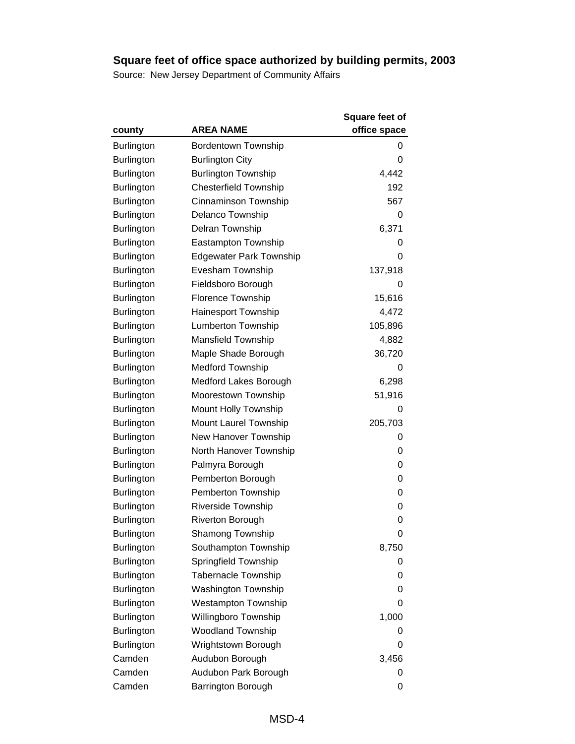|                   |                                | <b>Square feet of</b> |
|-------------------|--------------------------------|-----------------------|
| county            | <b>AREA NAME</b>               | office space          |
| <b>Burlington</b> | <b>Bordentown Township</b>     | 0                     |
| <b>Burlington</b> | <b>Burlington City</b>         | 0                     |
| <b>Burlington</b> | <b>Burlington Township</b>     | 4,442                 |
| <b>Burlington</b> | <b>Chesterfield Township</b>   | 192                   |
| <b>Burlington</b> | Cinnaminson Township           | 567                   |
| <b>Burlington</b> | Delanco Township               | 0                     |
| <b>Burlington</b> | Delran Township                | 6,371                 |
| <b>Burlington</b> | <b>Eastampton Township</b>     | 0                     |
| <b>Burlington</b> | <b>Edgewater Park Township</b> | 0                     |
| Burlington        | Evesham Township               | 137,918               |
| <b>Burlington</b> | Fieldsboro Borough             | 0                     |
| <b>Burlington</b> | Florence Township              | 15,616                |
| <b>Burlington</b> | Hainesport Township            | 4,472                 |
| Burlington        | <b>Lumberton Township</b>      | 105,896               |
| <b>Burlington</b> | <b>Mansfield Township</b>      | 4,882                 |
| <b>Burlington</b> | Maple Shade Borough            | 36,720                |
| <b>Burlington</b> | <b>Medford Township</b>        | 0                     |
| <b>Burlington</b> | Medford Lakes Borough          | 6,298                 |
| <b>Burlington</b> | Moorestown Township            | 51,916                |
| <b>Burlington</b> | Mount Holly Township           | 0                     |
| <b>Burlington</b> | Mount Laurel Township          | 205,703               |
| <b>Burlington</b> | New Hanover Township           | 0                     |
| Burlington        | North Hanover Township         | 0                     |
| <b>Burlington</b> | Palmyra Borough                | 0                     |
| <b>Burlington</b> | Pemberton Borough              | 0                     |
| <b>Burlington</b> | Pemberton Township             | 0                     |
| Burlington        | <b>Riverside Township</b>      | 0                     |
| Burlington        | <b>Riverton Borough</b>        | 0                     |
| Burlington        | <b>Shamong Township</b>        | 0                     |
| <b>Burlington</b> | Southampton Township           | 8,750                 |
| <b>Burlington</b> | Springfield Township           | 0                     |
| <b>Burlington</b> | <b>Tabernacle Township</b>     | 0                     |
| <b>Burlington</b> | Washington Township            | 0                     |
| <b>Burlington</b> | <b>Westampton Township</b>     | 0                     |
| <b>Burlington</b> | Willingboro Township           | 1,000                 |
| <b>Burlington</b> | <b>Woodland Township</b>       | 0                     |
| <b>Burlington</b> | Wrightstown Borough            | 0                     |
| Camden            | Audubon Borough                | 3,456                 |
| Camden            | Audubon Park Borough           | 0                     |
| Camden            | Barrington Borough             | 0                     |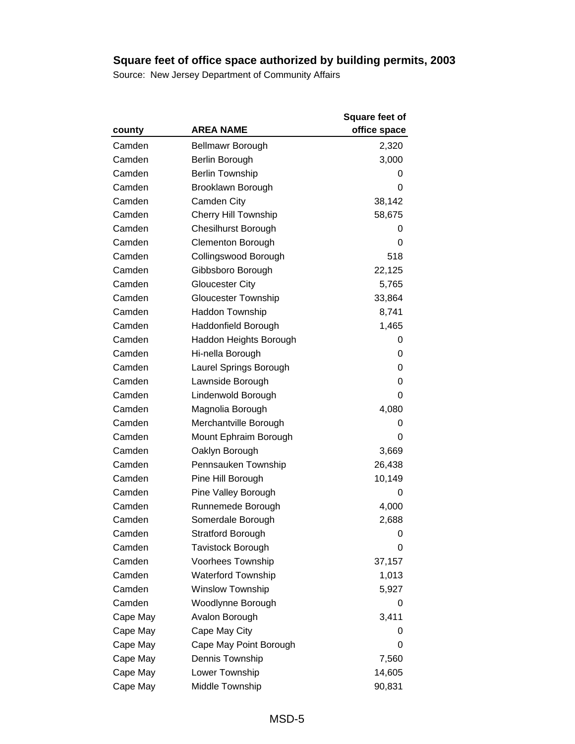|          |                             | <b>Square feet of</b> |
|----------|-----------------------------|-----------------------|
| county   | <b>AREA NAME</b>            | office space          |
| Camden   | <b>Bellmawr Borough</b>     | 2,320                 |
| Camden   | Berlin Borough              | 3,000                 |
| Camden   | <b>Berlin Township</b>      | 0                     |
| Camden   | Brooklawn Borough           | 0                     |
| Camden   | Camden City                 | 38,142                |
| Camden   | <b>Cherry Hill Township</b> | 58,675                |
| Camden   | <b>Chesilhurst Borough</b>  | 0                     |
| Camden   | <b>Clementon Borough</b>    | 0                     |
| Camden   | Collingswood Borough        | 518                   |
| Camden   | Gibbsboro Borough           | 22,125                |
| Camden   | <b>Gloucester City</b>      | 5,765                 |
| Camden   | <b>Gloucester Township</b>  | 33,864                |
| Camden   | <b>Haddon Township</b>      | 8,741                 |
| Camden   | Haddonfield Borough         | 1,465                 |
| Camden   | Haddon Heights Borough      | 0                     |
| Camden   | Hi-nella Borough            | 0                     |
| Camden   | Laurel Springs Borough      | 0                     |
| Camden   | Lawnside Borough            | 0                     |
| Camden   | Lindenwold Borough          | 0                     |
| Camden   | Magnolia Borough            | 4,080                 |
| Camden   | Merchantville Borough       | 0                     |
| Camden   | Mount Ephraim Borough       | 0                     |
| Camden   | Oaklyn Borough              | 3,669                 |
| Camden   | Pennsauken Township         | 26,438                |
| Camden   | Pine Hill Borough           | 10,149                |
| Camden   | Pine Valley Borough         | 0                     |
| Camden   | Runnemede Borough           | 4,000                 |
| Camden   | Somerdale Borough           | 2,688                 |
| Camden   | <b>Stratford Borough</b>    | 0                     |
| Camden   | <b>Tavistock Borough</b>    | 0                     |
| Camden   | Voorhees Township           | 37,157                |
| Camden   | <b>Waterford Township</b>   | 1,013                 |
| Camden   | <b>Winslow Township</b>     | 5,927                 |
| Camden   | Woodlynne Borough           | 0                     |
| Cape May | Avalon Borough              | 3,411                 |
| Cape May | Cape May City               | O                     |
| Cape May | Cape May Point Borough      | 0                     |
| Cape May | Dennis Township             | 7,560                 |
| Cape May | Lower Township              | 14,605                |
| Cape May | Middle Township             | 90,831                |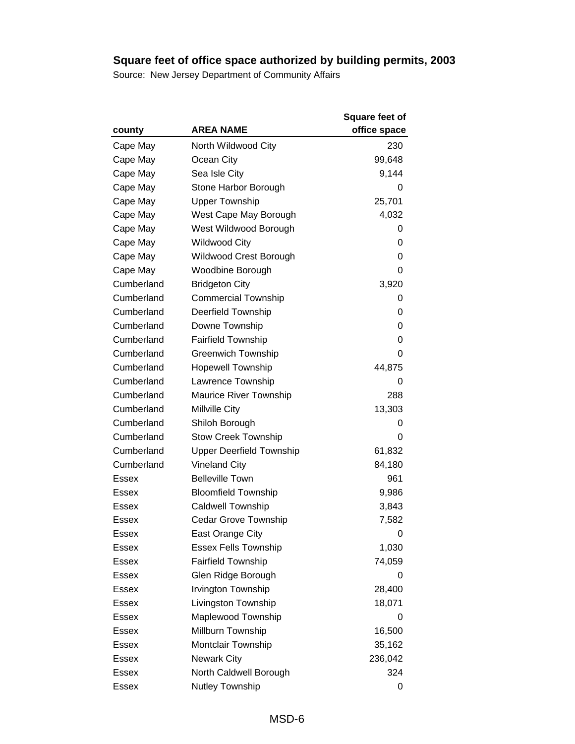|              |                                 | <b>Square feet of</b> |
|--------------|---------------------------------|-----------------------|
| county       | <b>AREA NAME</b>                | office space          |
| Cape May     | North Wildwood City             | 230                   |
| Cape May     | Ocean City                      | 99,648                |
| Cape May     | Sea Isle City                   | 9,144                 |
| Cape May     | Stone Harbor Borough            | 0                     |
| Cape May     | <b>Upper Township</b>           | 25,701                |
| Cape May     | West Cape May Borough           | 4,032                 |
| Cape May     | West Wildwood Borough           | 0                     |
| Cape May     | <b>Wildwood City</b>            | 0                     |
| Cape May     | Wildwood Crest Borough          | 0                     |
| Cape May     | Woodbine Borough                | 0                     |
| Cumberland   | <b>Bridgeton City</b>           | 3,920                 |
| Cumberland   | <b>Commercial Township</b>      | 0                     |
| Cumberland   | Deerfield Township              | 0                     |
| Cumberland   | Downe Township                  | 0                     |
| Cumberland   | <b>Fairfield Township</b>       | 0                     |
| Cumberland   | <b>Greenwich Township</b>       | 0                     |
| Cumberland   | <b>Hopewell Township</b>        | 44,875                |
| Cumberland   | Lawrence Township               | 0                     |
| Cumberland   | <b>Maurice River Township</b>   | 288                   |
| Cumberland   | Millville City                  | 13,303                |
| Cumberland   | Shiloh Borough                  | O                     |
| Cumberland   | <b>Stow Creek Township</b>      | 0                     |
| Cumberland   | <b>Upper Deerfield Township</b> | 61,832                |
| Cumberland   | <b>Vineland City</b>            | 84,180                |
| Essex        | <b>Belleville Town</b>          | 961                   |
| Essex        | <b>Bloomfield Township</b>      | 9,986                 |
| Essex        | <b>Caldwell Township</b>        | 3,843                 |
| <b>Essex</b> | Cedar Grove Township            | 7,582                 |
| <b>Essex</b> | East Orange City                | 0                     |
| Essex        | <b>Essex Fells Township</b>     | 1,030                 |
| Essex        | <b>Fairfield Township</b>       | 74,059                |
| Essex        | Glen Ridge Borough              | 0                     |
| Essex        | Irvington Township              | 28,400                |
| Essex        | Livingston Township             | 18,071                |
| Essex        | Maplewood Township              | 0                     |
| Essex        | Millburn Township               | 16,500                |
| Essex        | Montclair Township              | 35,162                |
| Essex        | <b>Newark City</b>              | 236,042               |
| <b>Essex</b> | North Caldwell Borough          | 324                   |
| <b>Essex</b> | Nutley Township                 | 0                     |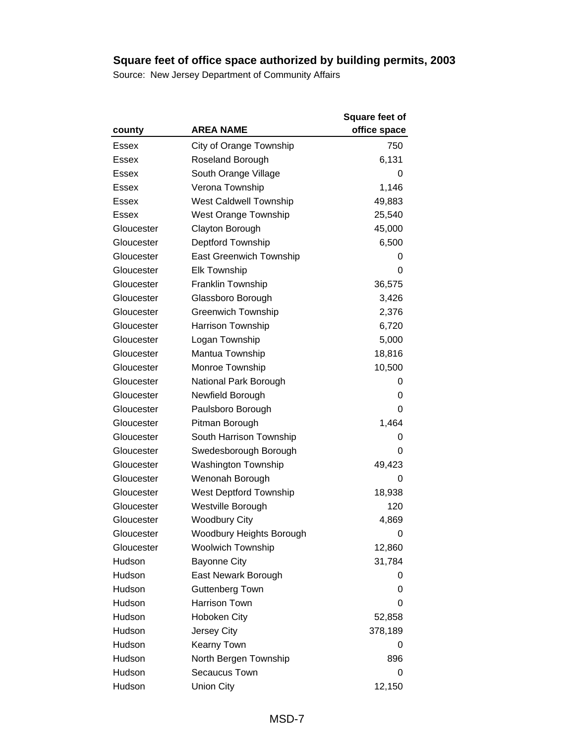|            |                               | <b>Square feet of</b> |
|------------|-------------------------------|-----------------------|
| county     | <b>AREA NAME</b>              | office space          |
| Essex      | City of Orange Township       | 750                   |
| Essex      | Roseland Borough              | 6,131                 |
| Essex      | South Orange Village          | 0                     |
| Essex      | Verona Township               | 1,146                 |
| Essex      | <b>West Caldwell Township</b> | 49,883                |
| Essex      | <b>West Orange Township</b>   | 25,540                |
| Gloucester | Clayton Borough               | 45,000                |
| Gloucester | Deptford Township             | 6,500                 |
| Gloucester | East Greenwich Township       | 0                     |
| Gloucester | <b>Elk Township</b>           | 0                     |
| Gloucester | Franklin Township             | 36,575                |
| Gloucester | Glassboro Borough             | 3,426                 |
| Gloucester | <b>Greenwich Township</b>     | 2,376                 |
| Gloucester | Harrison Township             | 6,720                 |
| Gloucester | Logan Township                | 5,000                 |
| Gloucester | Mantua Township               | 18,816                |
| Gloucester | Monroe Township               | 10,500                |
| Gloucester | National Park Borough         | 0                     |
| Gloucester | Newfield Borough              | 0                     |
| Gloucester | Paulsboro Borough             | 0                     |
| Gloucester | Pitman Borough                | 1,464                 |
| Gloucester | South Harrison Township       | 0                     |
| Gloucester | Swedesborough Borough         | 0                     |
| Gloucester | <b>Washington Township</b>    | 49,423                |
| Gloucester | Wenonah Borough               | 0                     |
| Gloucester | <b>West Deptford Township</b> | 18,938                |
| Gloucester | Westville Borough             | 120                   |
| Gloucester | <b>Woodbury City</b>          | 4,869                 |
| Gloucester | Woodbury Heights Borough      | 0                     |
| Gloucester | <b>Woolwich Township</b>      | 12,860                |
| Hudson     | <b>Bayonne City</b>           | 31,784                |
| Hudson     | East Newark Borough           | O                     |
| Hudson     | Guttenberg Town               | 0                     |
| Hudson     | Harrison Town                 | 0                     |
| Hudson     | Hoboken City                  | 52,858                |
| Hudson     | Jersey City                   | 378,189               |
| Hudson     | Kearny Town                   | 0                     |
| Hudson     | North Bergen Township         | 896                   |
| Hudson     | Secaucus Town                 | 0                     |
| Hudson     | Union City                    | 12,150                |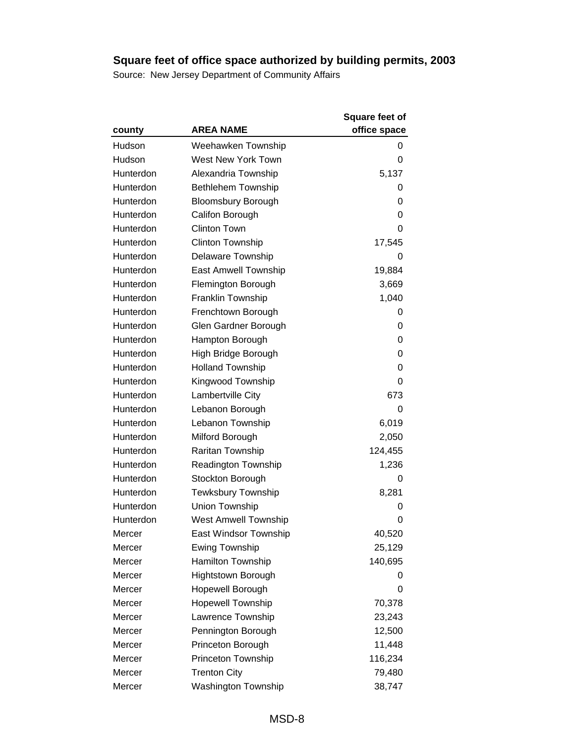|           |                             | Square feet of |
|-----------|-----------------------------|----------------|
| county    | <b>AREA NAME</b>            | office space   |
| Hudson    | Weehawken Township          | 0              |
| Hudson    | West New York Town          | 0              |
| Hunterdon | Alexandria Township         | 5,137          |
| Hunterdon | <b>Bethlehem Township</b>   | 0              |
| Hunterdon | <b>Bloomsbury Borough</b>   | 0              |
| Hunterdon | Califon Borough             | 0              |
| Hunterdon | <b>Clinton Town</b>         | 0              |
| Hunterdon | <b>Clinton Township</b>     | 17,545         |
| Hunterdon | Delaware Township           | 0              |
| Hunterdon | East Amwell Township        | 19,884         |
| Hunterdon | Flemington Borough          | 3,669          |
| Hunterdon | Franklin Township           | 1,040          |
| Hunterdon | Frenchtown Borough          | 0              |
| Hunterdon | Glen Gardner Borough        | 0              |
| Hunterdon | Hampton Borough             | 0              |
| Hunterdon | High Bridge Borough         | 0              |
| Hunterdon | <b>Holland Township</b>     | 0              |
| Hunterdon | Kingwood Township           | 0              |
| Hunterdon | Lambertville City           | 673            |
| Hunterdon | Lebanon Borough             | 0              |
| Hunterdon | Lebanon Township            | 6,019          |
| Hunterdon | Milford Borough             | 2,050          |
| Hunterdon | Raritan Township            | 124,455        |
| Hunterdon | Readington Township         | 1,236          |
| Hunterdon | Stockton Borough            | 0              |
| Hunterdon | Tewksbury Township          | 8,281          |
| Hunterdon | Union Township              | 0              |
| Hunterdon | <b>West Amwell Township</b> | 0              |
| Mercer    | East Windsor Township       | 40,520         |
| Mercer    | <b>Ewing Township</b>       | 25,129         |
| Mercer    | Hamilton Township           | 140,695        |
| Mercer    | <b>Hightstown Borough</b>   | 0              |
| Mercer    | Hopewell Borough            | 0              |
| Mercer    | <b>Hopewell Township</b>    | 70,378         |
| Mercer    | Lawrence Township           | 23,243         |
| Mercer    | Pennington Borough          | 12,500         |
| Mercer    | Princeton Borough           | 11,448         |
| Mercer    | Princeton Township          | 116,234        |
| Mercer    | <b>Trenton City</b>         | 79,480         |
| Mercer    | Washington Township         | 38,747         |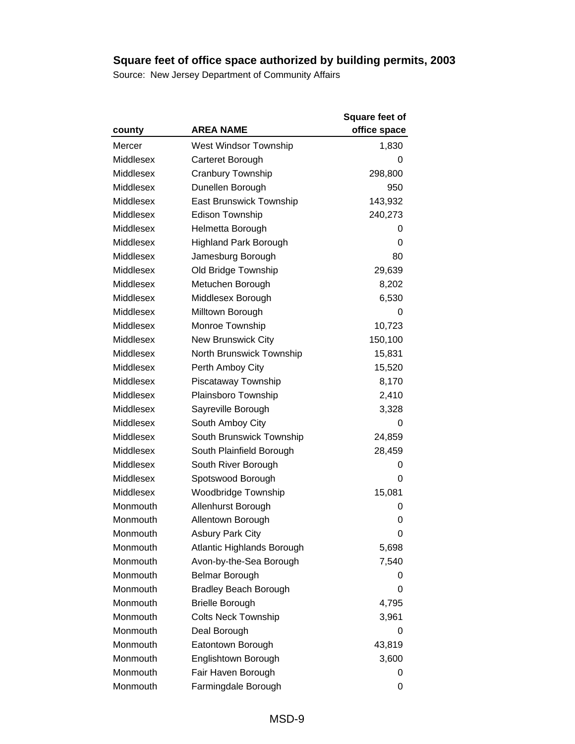|           |                              | <b>Square feet of</b> |
|-----------|------------------------------|-----------------------|
| county    | <b>AREA NAME</b>             | office space          |
| Mercer    | West Windsor Township        | 1,830                 |
| Middlesex | Carteret Borough             | 0                     |
| Middlesex | Cranbury Township            | 298,800               |
| Middlesex | Dunellen Borough             | 950                   |
| Middlesex | East Brunswick Township      | 143,932               |
| Middlesex | Edison Township              | 240,273               |
| Middlesex | Helmetta Borough             | 0                     |
| Middlesex | <b>Highland Park Borough</b> | 0                     |
| Middlesex | Jamesburg Borough            | 80                    |
| Middlesex | Old Bridge Township          | 29,639                |
| Middlesex | Metuchen Borough             | 8,202                 |
| Middlesex | Middlesex Borough            | 6,530                 |
| Middlesex | Milltown Borough             | 0                     |
| Middlesex | Monroe Township              | 10,723                |
| Middlesex | <b>New Brunswick City</b>    | 150,100               |
| Middlesex | North Brunswick Township     | 15,831                |
| Middlesex | Perth Amboy City             | 15,520                |
| Middlesex | Piscataway Township          | 8,170                 |
| Middlesex | Plainsboro Township          | 2,410                 |
| Middlesex | Sayreville Borough           | 3,328                 |
| Middlesex | South Amboy City             | 0                     |
| Middlesex | South Brunswick Township     | 24,859                |
| Middlesex | South Plainfield Borough     | 28,459                |
| Middlesex | South River Borough          | 0                     |
| Middlesex | Spotswood Borough            | 0                     |
| Middlesex | <b>Woodbridge Township</b>   | 15,081                |
| Monmouth  | Allenhurst Borough           | 0                     |
| Monmouth  | Allentown Borough            | 0                     |
| Monmouth  | <b>Asbury Park City</b>      | 0                     |
| Monmouth  | Atlantic Highlands Borough   | 5,698                 |
| Monmouth  | Avon-by-the-Sea Borough      | 7,540                 |
| Monmouth  | Belmar Borough               | O                     |
| Monmouth  | <b>Bradley Beach Borough</b> | 0                     |
| Monmouth  | <b>Brielle Borough</b>       | 4,795                 |
| Monmouth  | <b>Colts Neck Township</b>   | 3,961                 |
| Monmouth  | Deal Borough                 | 0                     |
| Monmouth  | Eatontown Borough            | 43,819                |
| Monmouth  | Englishtown Borough          | 3,600                 |
| Monmouth  | Fair Haven Borough           | 0                     |
| Monmouth  | Farmingdale Borough          | 0                     |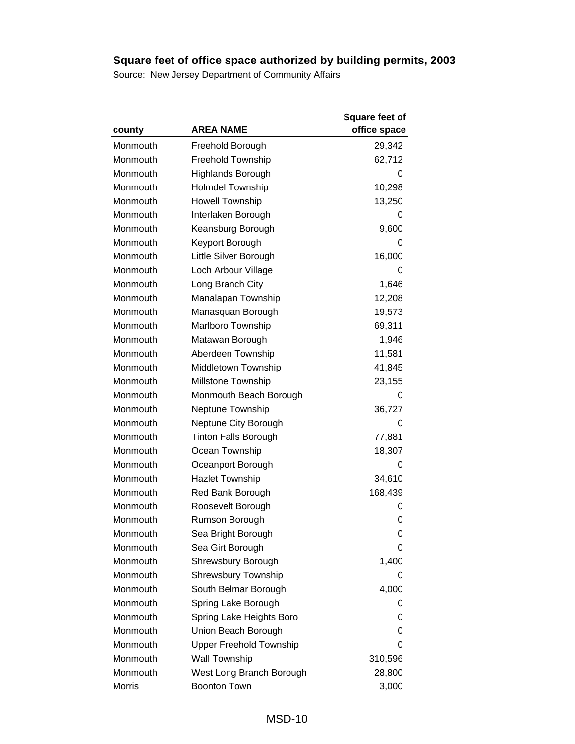|               |                                | Square feet of |
|---------------|--------------------------------|----------------|
| county        | <b>AREA NAME</b>               | office space   |
| Monmouth      | Freehold Borough               | 29,342         |
| Monmouth      | <b>Freehold Township</b>       | 62,712         |
| Monmouth      | <b>Highlands Borough</b>       | 0              |
| Monmouth      | <b>Holmdel Township</b>        | 10,298         |
| Monmouth      | <b>Howell Township</b>         | 13,250         |
| Monmouth      | Interlaken Borough             | 0              |
| Monmouth      | Keansburg Borough              | 9,600          |
| Monmouth      | Keyport Borough                | 0              |
| Monmouth      | Little Silver Borough          | 16,000         |
| Monmouth      | Loch Arbour Village            | 0              |
| Monmouth      | Long Branch City               | 1,646          |
| Monmouth      | Manalapan Township             | 12,208         |
| Monmouth      | Manasquan Borough              | 19,573         |
| Monmouth      | Marlboro Township              | 69,311         |
| Monmouth      | Matawan Borough                | 1,946          |
| Monmouth      | Aberdeen Township              | 11,581         |
| Monmouth      | Middletown Township            | 41,845         |
| Monmouth      | <b>Millstone Township</b>      | 23,155         |
| Monmouth      | Monmouth Beach Borough         | 0              |
| Monmouth      | Neptune Township               | 36,727         |
| Monmouth      | Neptune City Borough           | 0              |
| Monmouth      | <b>Tinton Falls Borough</b>    | 77,881         |
| Monmouth      | Ocean Township                 | 18,307         |
| Monmouth      | Oceanport Borough              | 0              |
| Monmouth      | <b>Hazlet Township</b>         | 34,610         |
| Monmouth      | Red Bank Borough               | 168,439        |
| Monmouth      | Roosevelt Borough              | 0              |
| Monmouth      | Rumson Borough                 | 0              |
| Monmouth      | Sea Bright Borough             | 0              |
| Monmouth      | Sea Girt Borough               | 0              |
| Monmouth      | Shrewsbury Borough             | 1,400          |
| Monmouth      | <b>Shrewsbury Township</b>     | 0              |
| Monmouth      | South Belmar Borough           | 4,000          |
| Monmouth      | Spring Lake Borough            | 0              |
| Monmouth      | Spring Lake Heights Boro       | 0              |
| Monmouth      | Union Beach Borough            | 0              |
| Monmouth      | <b>Upper Freehold Township</b> | 0              |
| Monmouth      | <b>Wall Township</b>           | 310,596        |
| Monmouth      | West Long Branch Borough       | 28,800         |
| <b>Morris</b> | <b>Boonton Town</b>            | 3,000          |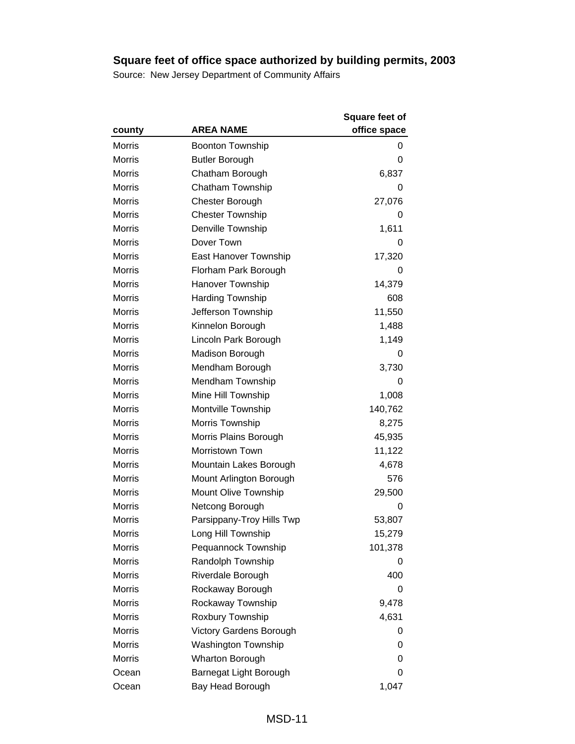|               |                            | <b>Square feet of</b> |
|---------------|----------------------------|-----------------------|
| county        | <b>AREA NAME</b>           | office space          |
| <b>Morris</b> | <b>Boonton Township</b>    | 0                     |
| <b>Morris</b> | <b>Butler Borough</b>      | 0                     |
| Morris        | Chatham Borough            | 6,837                 |
| <b>Morris</b> | Chatham Township           | 0                     |
| <b>Morris</b> | <b>Chester Borough</b>     | 27,076                |
| <b>Morris</b> | <b>Chester Township</b>    | 0                     |
| <b>Morris</b> | Denville Township          | 1,611                 |
| Morris        | Dover Town                 | O                     |
| <b>Morris</b> | East Hanover Township      | 17,320                |
| <b>Morris</b> | Florham Park Borough       | 0                     |
| <b>Morris</b> | Hanover Township           | 14,379                |
| <b>Morris</b> | <b>Harding Township</b>    | 608                   |
| <b>Morris</b> | Jefferson Township         | 11,550                |
| Morris        | Kinnelon Borough           | 1,488                 |
| <b>Morris</b> | Lincoln Park Borough       | 1,149                 |
| Morris        | <b>Madison Borough</b>     | 0                     |
| <b>Morris</b> | Mendham Borough            | 3,730                 |
| <b>Morris</b> | Mendham Township           | 0                     |
| <b>Morris</b> | Mine Hill Township         | 1,008                 |
| <b>Morris</b> | Montville Township         | 140,762               |
| <b>Morris</b> | Morris Township            | 8,275                 |
| <b>Morris</b> | Morris Plains Borough      | 45,935                |
| <b>Morris</b> | Morristown Town            | 11,122                |
| <b>Morris</b> | Mountain Lakes Borough     | 4,678                 |
| <b>Morris</b> | Mount Arlington Borough    | 576                   |
| <b>Morris</b> | Mount Olive Township       | 29,500                |
| <b>Morris</b> | Netcong Borough            | 0                     |
| <b>Morris</b> | Parsippany-Troy Hills Twp  | 53,807                |
| <b>Morris</b> | Long Hill Township         | 15,279                |
| Morris        | Pequannock Township        | 101,378               |
| <b>Morris</b> | Randolph Township          | 0                     |
| <b>Morris</b> | Riverdale Borough          | 400                   |
| <b>Morris</b> | Rockaway Borough           | 0                     |
| <b>Morris</b> | Rockaway Township          | 9,478                 |
| <b>Morris</b> | Roxbury Township           | 4,631                 |
| <b>Morris</b> | Victory Gardens Borough    | O                     |
| <b>Morris</b> | <b>Washington Township</b> | 0                     |
| <b>Morris</b> | <b>Wharton Borough</b>     | 0                     |
| Ocean         | Barnegat Light Borough     | 0                     |
| Ocean         | Bay Head Borough           | 1,047                 |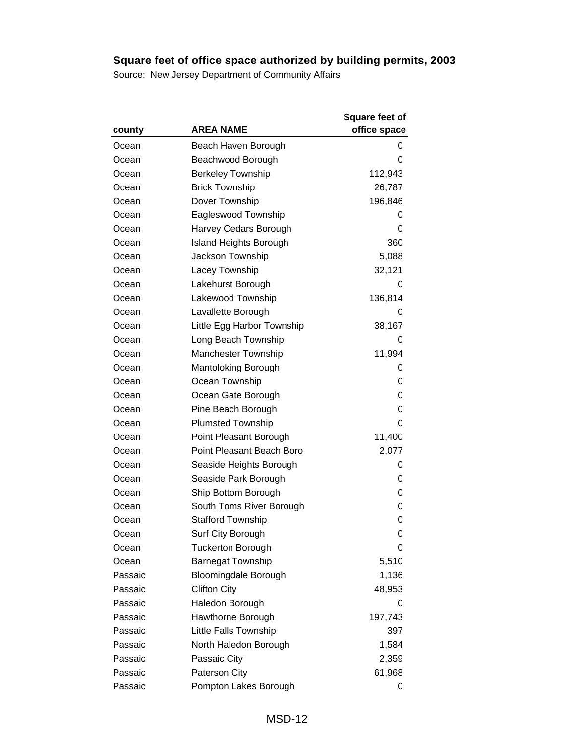|         |                               | <b>Square feet of</b> |
|---------|-------------------------------|-----------------------|
| county  | <b>AREA NAME</b>              | office space          |
| Ocean   | Beach Haven Borough           | 0                     |
| Ocean   | Beachwood Borough             | 0                     |
| Ocean   | <b>Berkeley Township</b>      | 112,943               |
| Ocean   | <b>Brick Township</b>         | 26,787                |
| Ocean   | Dover Township                | 196,846               |
| Ocean   | Eagleswood Township           | 0                     |
| Ocean   | Harvey Cedars Borough         | 0                     |
| Ocean   | <b>Island Heights Borough</b> | 360                   |
| Ocean   | Jackson Township              | 5,088                 |
| Ocean   | Lacey Township                | 32,121                |
| Ocean   | Lakehurst Borough             | 0                     |
| Ocean   | Lakewood Township             | 136,814               |
| Ocean   | Lavallette Borough            | 0                     |
| Ocean   | Little Egg Harbor Township    | 38,167                |
| Ocean   | Long Beach Township           | 0                     |
| Ocean   | Manchester Township           | 11,994                |
| Ocean   | Mantoloking Borough           | 0                     |
| Ocean   | Ocean Township                | 0                     |
| Ocean   | Ocean Gate Borough            | 0                     |
| Ocean   | Pine Beach Borough            | 0                     |
| Ocean   | <b>Plumsted Township</b>      | 0                     |
| Ocean   | Point Pleasant Borough        | 11,400                |
| Ocean   | Point Pleasant Beach Boro     | 2,077                 |
| Ocean   | Seaside Heights Borough       | 0                     |
| Ocean   | Seaside Park Borough          | 0                     |
| Ocean   | Ship Bottom Borough           | 0                     |
| Ocean   | South Toms River Borough      | 0                     |
| Ocean   | <b>Stafford Township</b>      | 0                     |
| Ocean   | Surf City Borough             | 0                     |
| Ocean   | <b>Tuckerton Borough</b>      | 0                     |
| Ocean   | <b>Barnegat Township</b>      | 5,510                 |
| Passaic | <b>Bloomingdale Borough</b>   | 1,136                 |
| Passaic | <b>Clifton City</b>           | 48,953                |
| Passaic | Haledon Borough               | 0                     |
| Passaic | Hawthorne Borough             | 197,743               |
| Passaic | Little Falls Township         | 397                   |
| Passaic | North Haledon Borough         | 1,584                 |
| Passaic | Passaic City                  | 2,359                 |
| Passaic | Paterson City                 | 61,968                |
| Passaic | Pompton Lakes Borough         | 0                     |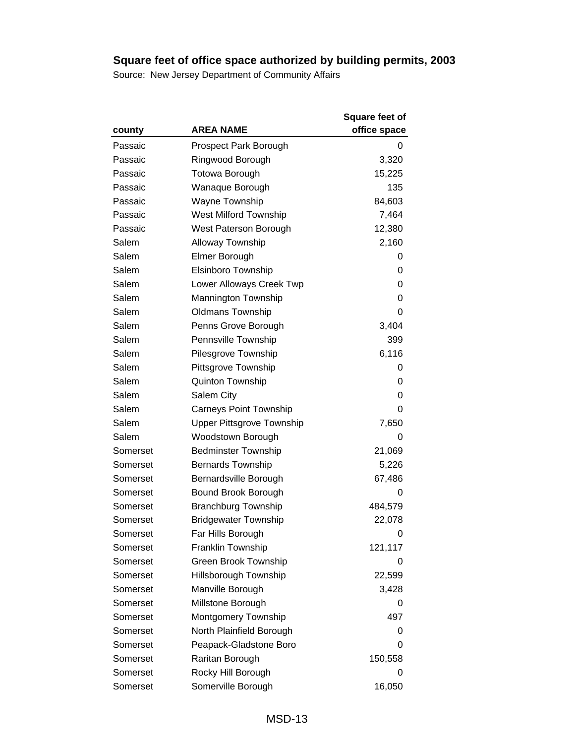|          |                                  | <b>Square feet of</b> |
|----------|----------------------------------|-----------------------|
| county   | <b>AREA NAME</b>                 | office space          |
| Passaic  | Prospect Park Borough            | 0                     |
| Passaic  | Ringwood Borough                 | 3,320                 |
| Passaic  | Totowa Borough                   | 15,225                |
| Passaic  | Wanaque Borough                  | 135                   |
| Passaic  | Wayne Township                   | 84,603                |
| Passaic  | <b>West Milford Township</b>     | 7,464                 |
| Passaic  | West Paterson Borough            | 12,380                |
| Salem    | <b>Alloway Township</b>          | 2,160                 |
| Salem    | Elmer Borough                    | 0                     |
| Salem    | Elsinboro Township               | 0                     |
| Salem    | Lower Alloways Creek Twp         | 0                     |
| Salem    | <b>Mannington Township</b>       | 0                     |
| Salem    | <b>Oldmans Township</b>          | 0                     |
| Salem    | Penns Grove Borough              | 3,404                 |
| Salem    | Pennsville Township              | 399                   |
| Salem    | Pilesgrove Township              | 6,116                 |
| Salem    | Pittsgrove Township              | 0                     |
| Salem    | Quinton Township                 | 0                     |
| Salem    | Salem City                       | 0                     |
| Salem    | <b>Carneys Point Township</b>    | 0                     |
| Salem    | <b>Upper Pittsgrove Township</b> | 7,650                 |
| Salem    | Woodstown Borough                | 0                     |
| Somerset | <b>Bedminster Township</b>       | 21,069                |
| Somerset | <b>Bernards Township</b>         | 5,226                 |
| Somerset | Bernardsville Borough            | 67,486                |
| Somerset | Bound Brook Borough              | 0                     |
| Somerset | <b>Branchburg Township</b>       | 484,579               |
| Somerset | <b>Bridgewater Township</b>      | 22,078                |
| Somerset | Far Hills Borough                | 0                     |
| Somerset | Franklin Township                | 121,117               |
| Somerset | <b>Green Brook Township</b>      | 0                     |
| Somerset | Hillsborough Township            | 22,599                |
| Somerset | Manville Borough                 | 3,428                 |
| Somerset | Millstone Borough                | 0                     |
| Somerset | Montgomery Township              | 497                   |
| Somerset | North Plainfield Borough         | 0                     |
| Somerset | Peapack-Gladstone Boro           | 0                     |
| Somerset | Raritan Borough                  | 150,558               |
| Somerset | Rocky Hill Borough               | 0                     |
| Somerset | Somerville Borough               | 16,050                |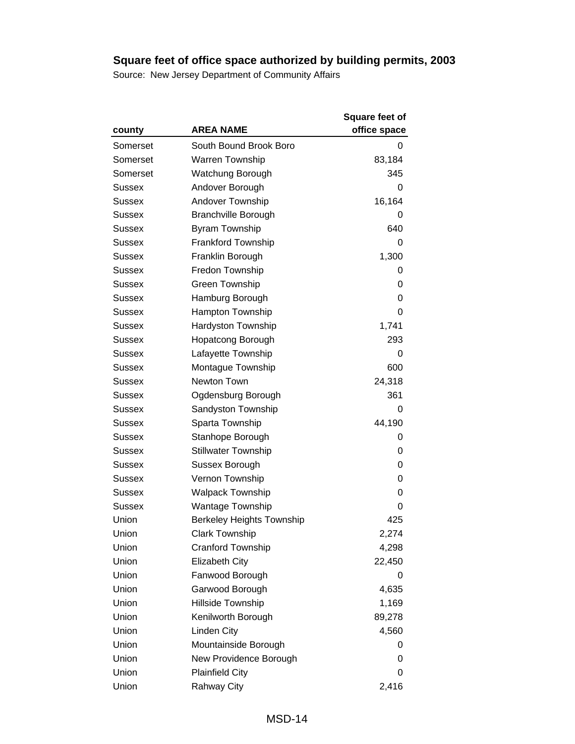|               |                                  | <b>Square feet of</b> |
|---------------|----------------------------------|-----------------------|
| county        | <b>AREA NAME</b>                 | office space          |
| Somerset      | South Bound Brook Boro           | 0                     |
| Somerset      | <b>Warren Township</b>           | 83,184                |
| Somerset      | Watchung Borough                 | 345                   |
| Sussex        | Andover Borough                  | 0                     |
| <b>Sussex</b> | <b>Andover Township</b>          | 16,164                |
| Sussex        | <b>Branchville Borough</b>       | 0                     |
| <b>Sussex</b> | <b>Byram Township</b>            | 640                   |
| Sussex        | <b>Frankford Township</b>        | 0                     |
| <b>Sussex</b> | Franklin Borough                 | 1,300                 |
| <b>Sussex</b> | Fredon Township                  | 0                     |
| Sussex        | Green Township                   | 0                     |
| <b>Sussex</b> | Hamburg Borough                  | 0                     |
| <b>Sussex</b> | Hampton Township                 | 0                     |
| Sussex        | Hardyston Township               | 1,741                 |
| <b>Sussex</b> | <b>Hopatcong Borough</b>         | 293                   |
| Sussex        | Lafayette Township               | 0                     |
| <b>Sussex</b> | Montague Township                | 600                   |
| <b>Sussex</b> | Newton Town                      | 24,318                |
| Sussex        | Ogdensburg Borough               | 361                   |
| <b>Sussex</b> | Sandyston Township               | 0                     |
| Sussex        | Sparta Township                  | 44,190                |
| Sussex        | Stanhope Borough                 | 0                     |
| <b>Sussex</b> | <b>Stillwater Township</b>       | 0                     |
| Sussex        | Sussex Borough                   | 0                     |
| Sussex        | Vernon Township                  | 0                     |
| Sussex        | <b>Walpack Township</b>          | 0                     |
| <b>Sussex</b> | <b>Wantage Township</b>          | 0                     |
| Union         | <b>Berkeley Heights Township</b> | 425                   |
| Union         | <b>Clark Township</b>            | 2,274                 |
| Union         | Cranford Township                | 4,298                 |
| Union         | Elizabeth City                   | 22,450                |
| Union         | Fanwood Borough                  | 0                     |
| Union         | Garwood Borough                  | 4,635                 |
| Union         | Hillside Township                | 1,169                 |
| Union         | Kenilworth Borough               | 89,278                |
| Union         | <b>Linden City</b>               | 4,560                 |
| Union         | Mountainside Borough             | 0                     |
| Union         | New Providence Borough           | 0                     |
| Union         | <b>Plainfield City</b>           | 0                     |
| Union         | Rahway City                      | 2,416                 |